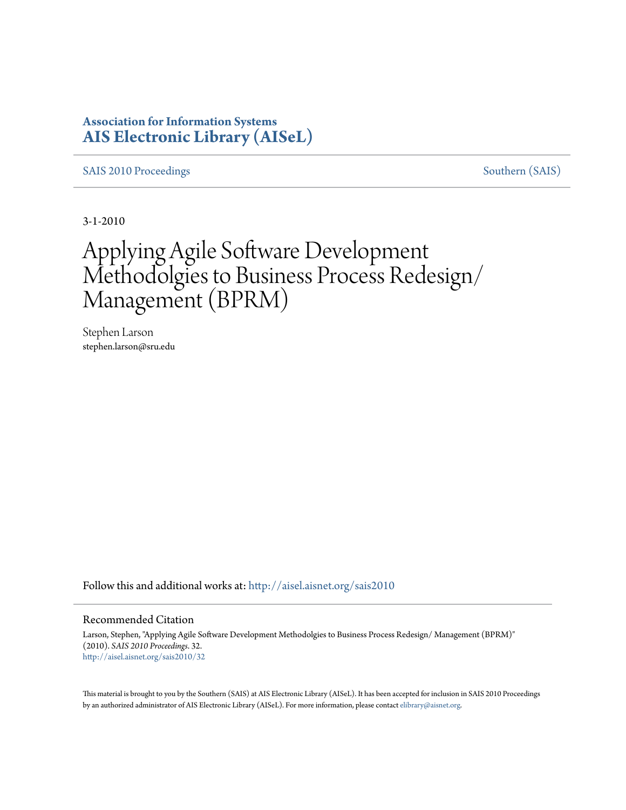### **Association for Information Systems [AIS Electronic Library \(AISeL\)](http://aisel.aisnet.org?utm_source=aisel.aisnet.org%2Fsais2010%2F32&utm_medium=PDF&utm_campaign=PDFCoverPages)**

[SAIS 2010 Proceedings](http://aisel.aisnet.org/sais2010?utm_source=aisel.aisnet.org%2Fsais2010%2F32&utm_medium=PDF&utm_campaign=PDFCoverPages) [Southern \(SAIS\)](http://aisel.aisnet.org/sais?utm_source=aisel.aisnet.org%2Fsais2010%2F32&utm_medium=PDF&utm_campaign=PDFCoverPages)

3-1-2010

# Applying Agile Software Development Methodolgies to Business Process Redesign/ Management (BPRM)

Stephen Larson stephen.larson@sru.edu

Follow this and additional works at: [http://aisel.aisnet.org/sais2010](http://aisel.aisnet.org/sais2010?utm_source=aisel.aisnet.org%2Fsais2010%2F32&utm_medium=PDF&utm_campaign=PDFCoverPages)

#### Recommended Citation

Larson, Stephen, "Applying Agile Software Development Methodolgies to Business Process Redesign/ Management (BPRM)" (2010). *SAIS 2010 Proceedings*. 32. [http://aisel.aisnet.org/sais2010/32](http://aisel.aisnet.org/sais2010/32?utm_source=aisel.aisnet.org%2Fsais2010%2F32&utm_medium=PDF&utm_campaign=PDFCoverPages)

This material is brought to you by the Southern (SAIS) at AIS Electronic Library (AISeL). It has been accepted for inclusion in SAIS 2010 Proceedings by an authorized administrator of AIS Electronic Library (AISeL). For more information, please contact [elibrary@aisnet.org](mailto:elibrary@aisnet.org%3E).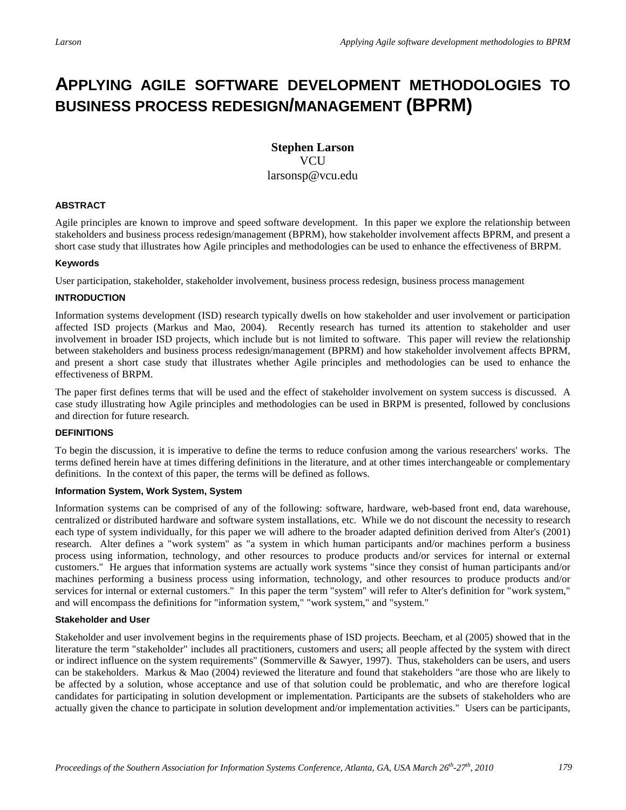## **APPLYING AGILE SOFTWARE DEVELOPMENT METHODOLOGIES TO BUSINESS PROCESS REDESIGN/MANAGEMENT (BPRM)**

#### **Stephen Larson VCU** larsonsp@vcu.edu

#### **ABSTRACT**

Agile principles are known to improve and speed software development. In this paper we explore the relationship between stakeholders and business process redesign/management (BPRM), how stakeholder involvement affects BPRM, and present a short case study that illustrates how Agile principles and methodologies can be used to enhance the effectiveness of BRPM.

#### **Keywords**

User participation, stakeholder, stakeholder involvement, business process redesign, business process management

#### **INTRODUCTION**

Information systems development (ISD) research typically dwells on how stakeholder and user involvement or participation affected ISD projects (Markus and Mao, 2004). Recently research has turned its attention to stakeholder and user involvement in broader ISD projects, which include but is not limited to software. This paper will review the relationship between stakeholders and business process redesign/management (BPRM) and how stakeholder involvement affects BPRM, and present a short case study that illustrates whether Agile principles and methodologies can be used to enhance the effectiveness of BRPM.

The paper first defines terms that will be used and the effect of stakeholder involvement on system success is discussed. A case study illustrating how Agile principles and methodologies can be used in BRPM is presented, followed by conclusions and direction for future research.

#### **DEFINITIONS**

To begin the discussion, it is imperative to define the terms to reduce confusion among the various researchers' works. The terms defined herein have at times differing definitions in the literature, and at other times interchangeable or complementary definitions. In the context of this paper, the terms will be defined as follows.

#### **Information System, Work System, System**

Information systems can be comprised of any of the following: software, hardware, web-based front end, data warehouse, centralized or distributed hardware and software system installations, etc. While we do not discount the necessity to research each type of system individually, for this paper we will adhere to the broader adapted definition derived from Alter's (2001) research. Alter defines a "work system" as "a system in which human participants and/or machines perform a business process using information, technology, and other resources to produce products and/or services for internal or external customers." He argues that information systems are actually work systems "since they consist of human participants and/or machines performing a business process using information, technology, and other resources to produce products and/or services for internal or external customers." In this paper the term "system" will refer to Alter's definition for "work system," and will encompass the definitions for "information system," "work system," and "system."

#### **Stakeholder and User**

Stakeholder and user involvement begins in the requirements phase of ISD projects. Beecham, et al (2005) showed that in the literature the term "stakeholder" includes all practitioners, customers and users; all people affected by the system with direct or indirect influence on the system requirements" (Sommerville & Sawyer, 1997). Thus, stakeholders can be users, and users can be stakeholders. Markus & Mao (2004) reviewed the literature and found that stakeholders "are those who are likely to be affected by a solution, whose acceptance and use of that solution could be problematic, and who are therefore logical candidates for participating in solution development or implementation. Participants are the subsets of stakeholders who are actually given the chance to participate in solution development and/or implementation activities." Users can be participants,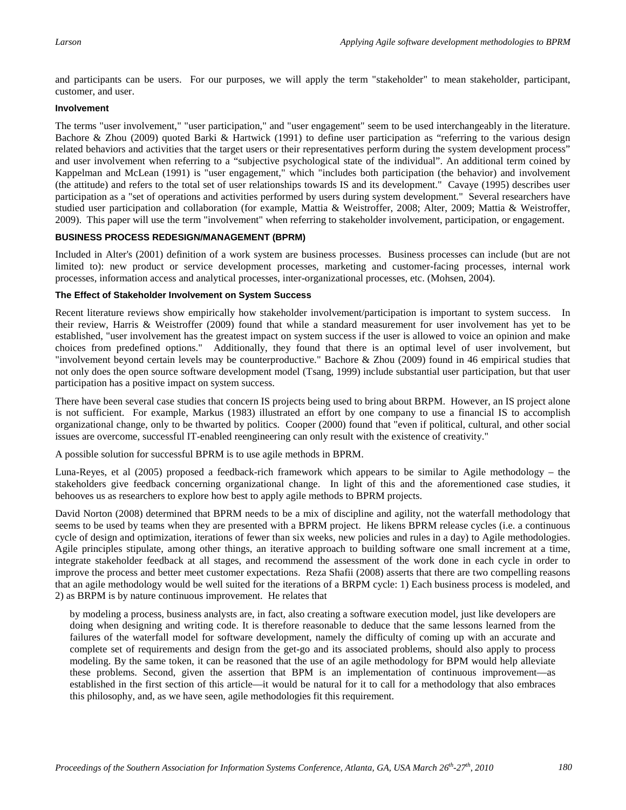and participants can be users. For our purposes, we will apply the term "stakeholder" to mean stakeholder, participant, customer, and user.

#### **Involvement**

The terms "user involvement," "user participation," and "user engagement" seem to be used interchangeably in the literature. Bachore & Zhou (2009) quoted Barki & Hartwick (1991) to define user participation as "referring to the various design related behaviors and activities that the target users or their representatives perform during the system development process" and user involvement when referring to a "subjective psychological state of the individual". An additional term coined by Kappelman and McLean (1991) is "user engagement," which "includes both participation (the behavior) and involvement (the attitude) and refers to the total set of user relationships towards IS and its development." Cavaye (1995) describes user participation as a "set of operations and activities performed by users during system development." Several researchers have studied user participation and collaboration (for example, Mattia & Weistroffer, 2008; Alter, 2009; Mattia & Weistroffer, 2009). This paper will use the term "involvement" when referring to stakeholder involvement, participation, or engagement.

#### **BUSINESS PROCESS REDESIGN/MANAGEMENT (BPRM)**

Included in Alter's (2001) definition of a work system are business processes. Business processes can include (but are not limited to): new product or service development processes, marketing and customer-facing processes, internal work processes, information access and analytical processes, inter-organizational processes, etc. (Mohsen, 2004).

#### **The Effect of Stakeholder Involvement on System Success**

Recent literature reviews show empirically how stakeholder involvement/participation is important to system success. In their review, Harris & Weistroffer (2009) found that while a standard measurement for user involvement has yet to be established, "user involvement has the greatest impact on system success if the user is allowed to voice an opinion and make choices from predefined options." Additionally, they found that there is an optimal level of user involvement, but "involvement beyond certain levels may be counterproductive." Bachore & Zhou (2009) found in 46 empirical studies that not only does the open source software development model (Tsang, 1999) include substantial user participation, but that user participation has a positive impact on system success.

There have been several case studies that concern IS projects being used to bring about BRPM. However, an IS project alone is not sufficient. For example, Markus (1983) illustrated an effort by one company to use a financial IS to accomplish organizational change, only to be thwarted by politics. Cooper (2000) found that "even if political, cultural, and other social issues are overcome, successful IT-enabled reengineering can only result with the existence of creativity."

A possible solution for successful BPRM is to use agile methods in BPRM.

Luna-Reyes, et al (2005) proposed a feedback-rich framework which appears to be similar to Agile methodology – the stakeholders give feedback concerning organizational change. In light of this and the aforementioned case studies, it behooves us as researchers to explore how best to apply agile methods to BPRM projects.

David Norton (2008) determined that BPRM needs to be a mix of discipline and agility, not the waterfall methodology that seems to be used by teams when they are presented with a BPRM project. He likens BPRM release cycles (i.e. a continuous cycle of design and optimization, iterations of fewer than six weeks, new policies and rules in a day) to Agile methodologies. Agile principles stipulate, among other things, an iterative approach to building software one small increment at a time, integrate stakeholder feedback at all stages, and recommend the assessment of the work done in each cycle in order to improve the process and better meet customer expectations. Reza Shafii (2008) asserts that there are two compelling reasons that an agile methodology would be well suited for the iterations of a BRPM cycle: 1) Each business process is modeled, and 2) as BRPM is by nature continuous improvement. He relates that

by modeling a process, business analysts are, in fact, also creating a software execution model, just like developers are doing when designing and writing code. It is therefore reasonable to deduce that the same lessons learned from the failures of the waterfall model for software development, namely the difficulty of coming up with an accurate and complete set of requirements and design from the get-go and its associated problems, should also apply to process modeling. By the same token, it can be reasoned that the use of an agile methodology for BPM would help alleviate these problems. Second, given the assertion that BPM is an implementation of continuous improvement—as established in the first section of this article—it would be natural for it to call for a methodology that also embraces this philosophy, and, as we have seen, agile methodologies fit this requirement.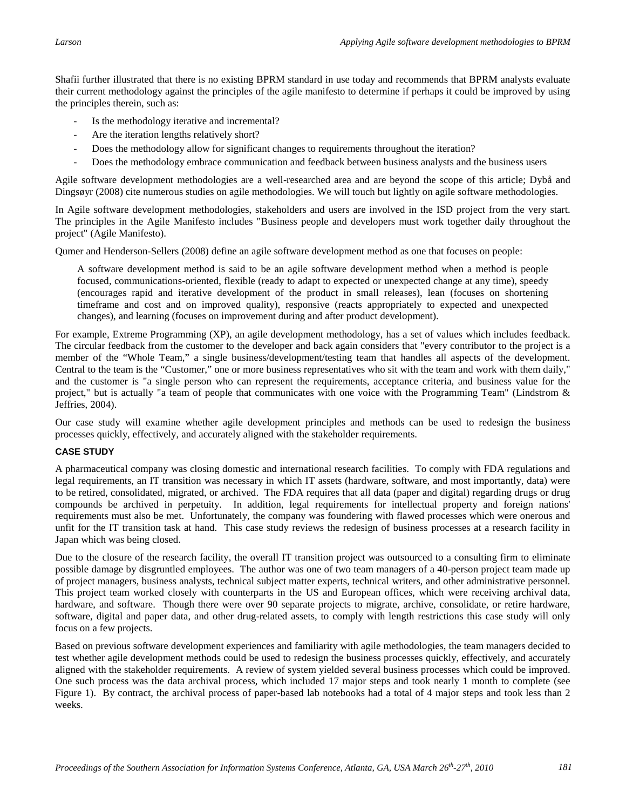Shafii further illustrated that there is no existing BPRM standard in use today and recommends that BPRM analysts evaluate their current methodology against the principles of the agile manifesto to determine if perhaps it could be improved by using the principles therein, such as:

- Is the methodology iterative and incremental?
- Are the iteration lengths relatively short?
- Does the methodology allow for significant changes to requirements throughout the iteration?
- Does the methodology embrace communication and feedback between business analysts and the business users

Agile software development methodologies are a well-researched area and are beyond the scope of this article; Dybå and Dingsøyr (2008) cite numerous studies on agile methodologies. We will touch but lightly on agile software methodologies.

In Agile software development methodologies, stakeholders and users are involved in the ISD project from the very start. The principles in the Agile Manifesto includes "Business people and developers must work together daily throughout the project" (Agile Manifesto).

Qumer and Henderson-Sellers (2008) define an agile software development method as one that focuses on people:

A software development method is said to be an agile software development method when a method is people focused, communications-oriented, flexible (ready to adapt to expected or unexpected change at any time), speedy (encourages rapid and iterative development of the product in small releases), lean (focuses on shortening timeframe and cost and on improved quality), responsive (reacts appropriately to expected and unexpected changes), and learning (focuses on improvement during and after product development).

For example, Extreme Programming (XP), an agile development methodology, has a set of values which includes feedback. The circular feedback from the customer to the developer and back again considers that "every contributor to the project is a member of the "Whole Team," a single business/development/testing team that handles all aspects of the development. Central to the team is the "Customer," one or more business representatives who sit with the team and work with them daily," and the customer is "a single person who can represent the requirements, acceptance criteria, and business value for the project," but is actually "a team of people that communicates with one voice with the Programming Team" (Lindstrom & Jeffries, 2004).

Our case study will examine whether agile development principles and methods can be used to redesign the business processes quickly, effectively, and accurately aligned with the stakeholder requirements.

#### **CASE STUDY**

A pharmaceutical company was closing domestic and international research facilities. To comply with FDA regulations and legal requirements, an IT transition was necessary in which IT assets (hardware, software, and most importantly, data) were to be retired, consolidated, migrated, or archived. The FDA requires that all data (paper and digital) regarding drugs or drug compounds be archived in perpetuity. In addition, legal requirements for intellectual property and foreign nations' requirements must also be met. Unfortunately, the company was foundering with flawed processes which were onerous and unfit for the IT transition task at hand. This case study reviews the redesign of business processes at a research facility in Japan which was being closed.

Due to the closure of the research facility, the overall IT transition project was outsourced to a consulting firm to eliminate possible damage by disgruntled employees. The author was one of two team managers of a 40-person project team made up of project managers, business analysts, technical subject matter experts, technical writers, and other administrative personnel. This project team worked closely with counterparts in the US and European offices, which were receiving archival data, hardware, and software. Though there were over 90 separate projects to migrate, archive, consolidate, or retire hardware, software, digital and paper data, and other drug-related assets, to comply with length restrictions this case study will only focus on a few projects.

Based on previous software development experiences and familiarity with agile methodologies, the team managers decided to test whether agile development methods could be used to redesign the business processes quickly, effectively, and accurately aligned with the stakeholder requirements. A review of system yielded several business processes which could be improved. One such process was the data archival process, which included 17 major steps and took nearly 1 month to complete (see Figure 1). By contract, the archival process of paper-based lab notebooks had a total of 4 major steps and took less than 2 weeks.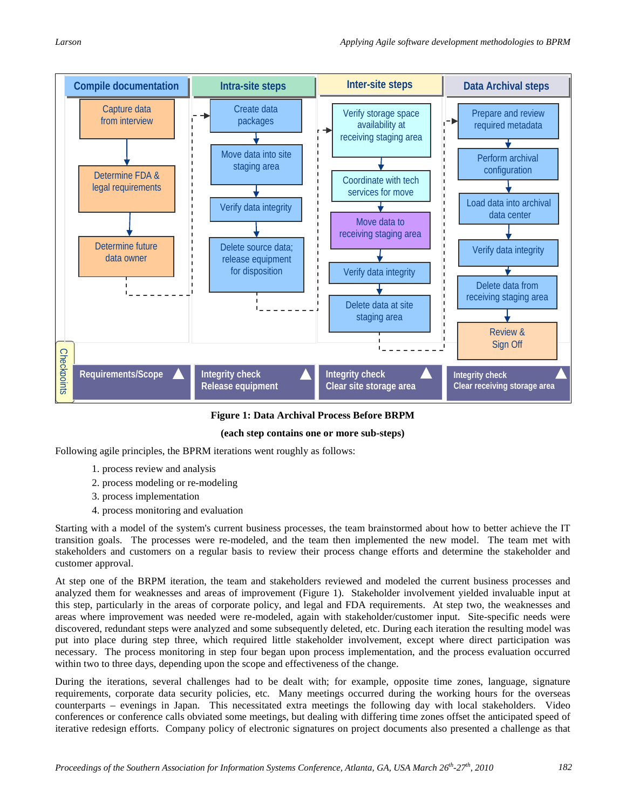

**Figure 1: Data Archival Process Before BRPM**

#### **(each step contains one or more sub-steps)**

Following agile principles, the BPRM iterations went roughly as follows:

- 1. process review and analysis
- 2. process modeling or re-modeling
- 3. process implementation
- 4. process monitoring and evaluation

Starting with a model of the system's current business processes, the team brainstormed about how to better achieve the IT transition goals. The processes were re-modeled, and the team then implemented the new model. The team met with stakeholders and customers on a regular basis to review their process change efforts and determine the stakeholder and customer approval.

At step one of the BRPM iteration, the team and stakeholders reviewed and modeled the current business processes and analyzed them for weaknesses and areas of improvement (Figure 1). Stakeholder involvement yielded invaluable input at this step, particularly in the areas of corporate policy, and legal and FDA requirements. At step two, the weaknesses and areas where improvement was needed were re-modeled, again with stakeholder/customer input. Site-specific needs were discovered, redundant steps were analyzed and some subsequently deleted, etc. During each iteration the resulting model was put into place during step three, which required little stakeholder involvement, except where direct participation was necessary. The process monitoring in step four began upon process implementation, and the process evaluation occurred within two to three days, depending upon the scope and effectiveness of the change. **Example interative redesign efforts. Example the Company policy of the Company policy of the Company policy of the Signature of the Signature of the Signature of the Signature of the Signature of the Signature of the Si** 

During the iterations, several challenges had to be dealt with; for example, opposite time zones, language, signature requirements, corporate data security policies, etc. Many meetings occurred during the working hours for the overseas counterparts – evenings in Japan. This necessitated extra meetings the following day with local stakeholders. Video conferences or conference calls obviated some meetings, but dealing with differing time zones offset the anticipated speed of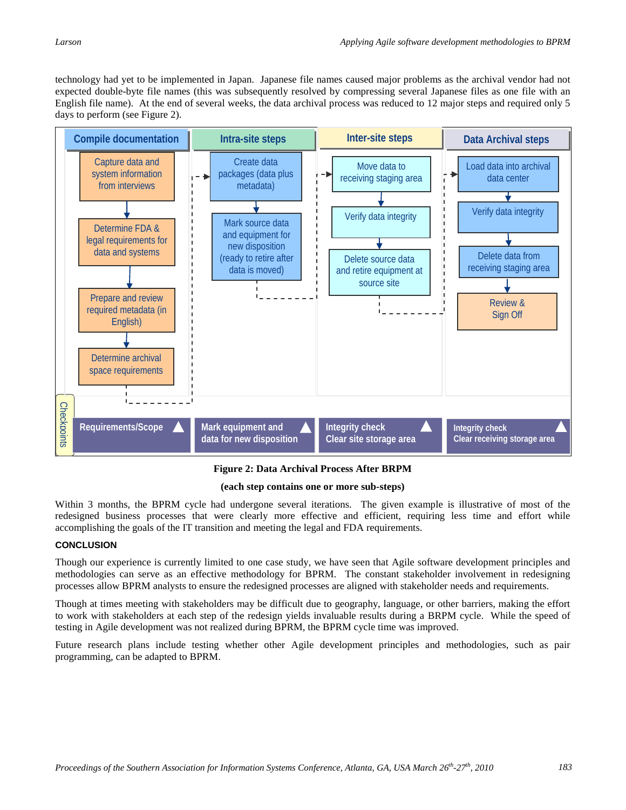technology had yet to be implemented in Japan. Japanese file names caused major problems as the archival vendor had not expected double-byte file names (this was subsequently resolved by compressing several Japanese files as one file with an English file name). At the end of several weeks, the data archival process was reduced to 12 major steps and required only 5 days to perform (see Figure 2).



**Figure 2: Data Archival Process After BRPM**

#### **(each step contains one or more sub-steps)**

Within 3 months, the BPRM cycle had undergone several iterations. The given example is illustrative of most of the redesigned business processes that were clearly more effective and efficient, requiring less time and effort while accomplishing the goals of the IT transition and meeting the legal and FDA requirements.

#### **CONCLUSION**

Though our experience is currently limited to one case study, we have seen that Agile software development principles and methodologies can serve as an effective methodology for BPRM. The constant stakeholder involvement in redesigning processes allow BPRM analysts to ensure the redesigned processes are aligned with stakeholder needs and requirements.

Though at times meeting with stakeholders may be difficult due to geography, language, or other barriers, making the effort to work with stakeholders at each step of the redesign yields invaluable results during a BRPM cycle. While the speed of testing in Agile development was not realized during BPRM, the BPRM cycle time was improved.

Future research plans include testing whether other Agile development principles and methodologies, such as pair